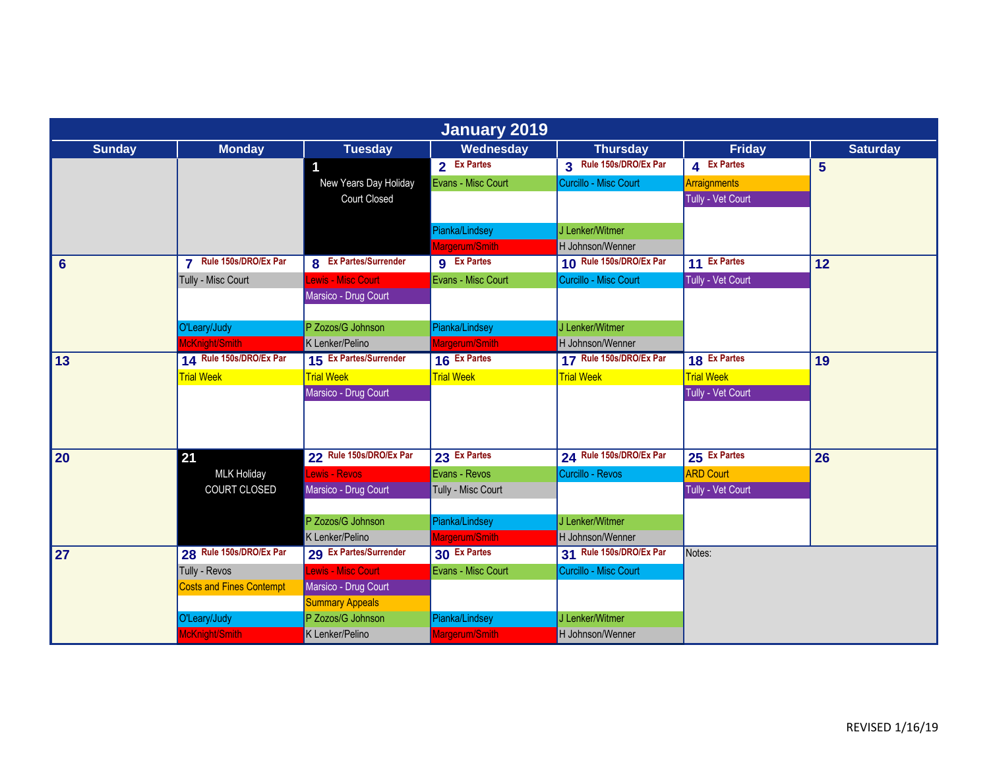|                | <b>January 2019</b>                             |                              |                    |                         |                   |                 |  |  |  |
|----------------|-------------------------------------------------|------------------------------|--------------------|-------------------------|-------------------|-----------------|--|--|--|
| <b>Sunday</b>  | <b>Monday</b>                                   | <b>Tuesday</b>               | Wednesday          | <b>Thursday</b>         | Friday            | <b>Saturday</b> |  |  |  |
|                |                                                 | 1                            | 2 Ex Partes        | 3 Rule 150s/DRO/Ex Par  | 4 Ex Partes       | 5 <sup>5</sup>  |  |  |  |
|                |                                                 | New Years Day Holiday        | Evans - Misc Court | Curcillo - Misc Court   | Arraignments      |                 |  |  |  |
|                |                                                 | Court Closed                 |                    |                         | Tully - Vet Court |                 |  |  |  |
|                |                                                 |                              |                    |                         |                   |                 |  |  |  |
|                |                                                 |                              | Pianka/Lindsey     | J Lenker/Witmer         |                   |                 |  |  |  |
|                |                                                 |                              | Margerum/Smith     | H Johnson/Wenner        |                   |                 |  |  |  |
| $6\phantom{1}$ | Rule 150s/DRO/Ex Par<br>$\overline{\mathbf{z}}$ | <b>8</b> Ex Partes/Surrender | <b>g</b> Ex Partes | 10 Rule 150s/DRO/Ex Par | 11 Ex Partes      | 12              |  |  |  |
|                | Tully - Misc Court                              | ewis - Misc Court            | Evans - Misc Court | Curcillo - Misc Court   | Tully - Vet Court |                 |  |  |  |
|                |                                                 | Marsico - Drug Court         |                    |                         |                   |                 |  |  |  |
|                |                                                 |                              |                    |                         |                   |                 |  |  |  |
|                | O'Leary/Judy                                    | P Zozos/G Johnson            | Pianka/Lindsey     | J Lenker/Witmer         |                   |                 |  |  |  |
|                | McKnight/Smith                                  | K Lenker/Pelino              | Margerum/Smith     | H Johnson/Wenner        |                   |                 |  |  |  |
| 13             | 14 Rule 150s/DRO/Ex Par                         | 15 Ex Partes/Surrender       | 16 Ex Partes       | 17 Rule 150s/DRO/Ex Par | 18 Ex Partes      | 19              |  |  |  |
|                | <b>Trial Week</b>                               | <b>Trial Week</b>            | <b>Trial Week</b>  | <b>Trial Week</b>       | <b>Trial Week</b> |                 |  |  |  |
|                |                                                 | Marsico - Drug Court         |                    |                         | Tully - Vet Court |                 |  |  |  |
|                |                                                 |                              |                    |                         |                   |                 |  |  |  |
|                |                                                 |                              |                    |                         |                   |                 |  |  |  |
|                |                                                 |                              |                    |                         |                   |                 |  |  |  |
| 20             | 21                                              | 22 Rule 150s/DRO/Ex Par      | 23 Ex Partes       | 24 Rule 150s/DRO/Ex Par | 25 Ex Partes      | 26              |  |  |  |
|                | <b>MLK Holiday</b>                              | Lewis - Revos                | Evans - Revos      | Curcillo - Revos        | <b>ARD Court</b>  |                 |  |  |  |
|                | COURT CLOSED                                    | Marsico - Drug Court         | Tully - Misc Court |                         | Tully - Vet Court |                 |  |  |  |
|                |                                                 |                              |                    |                         |                   |                 |  |  |  |
|                |                                                 | P Zozos/G Johnson            | Pianka/Lindsey     | J Lenker/Witmer         |                   |                 |  |  |  |
|                |                                                 | K Lenker/Pelino              | Margerum/Smith     | H Johnson/Wenner        |                   |                 |  |  |  |
| 27             | 28 Rule 150s/DRO/Ex Par                         | 29 Ex Partes/Surrender       | 30 Ex Partes       | 31 Rule 150s/DRO/Ex Par | Notes:            |                 |  |  |  |
|                | Tully - Revos                                   | Lewis - Misc Court           | Evans - Misc Court | Curcillo - Misc Court   |                   |                 |  |  |  |
|                | <b>Costs and Fines Contempt</b>                 | Marsico - Drug Court         |                    |                         |                   |                 |  |  |  |
|                |                                                 | <b>Summary Appeals</b>       |                    |                         |                   |                 |  |  |  |
|                | O'Leary/Judy                                    | P Zozos/G Johnson            | Pianka/Lindsey     | J Lenker/Witmer         |                   |                 |  |  |  |
|                | McKnight/Smith                                  | K Lenker/Pelino              | Margerum/Smith     | H Johnson/Wenner        |                   |                 |  |  |  |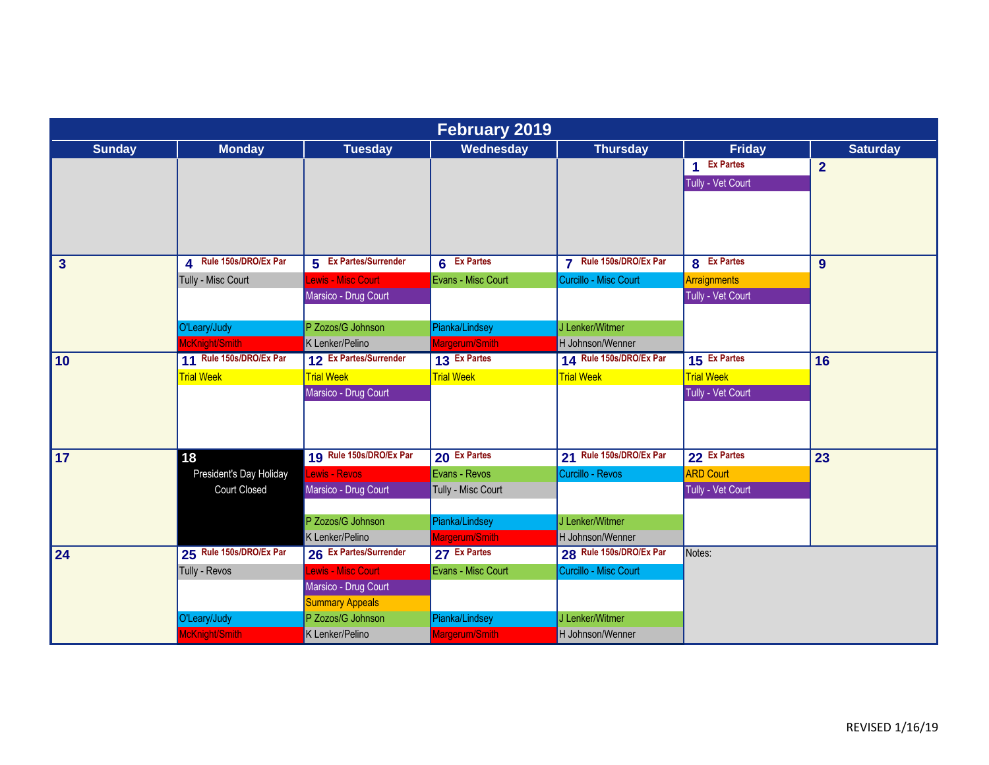|                         | <b>February 2019</b>    |                         |                                  |                                                 |                   |                 |  |  |  |
|-------------------------|-------------------------|-------------------------|----------------------------------|-------------------------------------------------|-------------------|-----------------|--|--|--|
| <b>Sunday</b>           | <b>Monday</b>           | <b>Tuesday</b>          | Wednesday                        | <b>Thursday</b>                                 | <b>Friday</b>     | <b>Saturday</b> |  |  |  |
|                         |                         |                         |                                  |                                                 | 1 Ex Partes       | $\overline{2}$  |  |  |  |
|                         |                         |                         |                                  |                                                 | Tully - Vet Court |                 |  |  |  |
|                         |                         |                         |                                  |                                                 |                   |                 |  |  |  |
|                         |                         |                         |                                  |                                                 |                   |                 |  |  |  |
|                         |                         |                         |                                  |                                                 |                   |                 |  |  |  |
| $\overline{\mathbf{3}}$ | 4 Rule 150s/DRO/Ex Par  | 5 Ex Partes/Surrender   | 6 Ex Partes                      | Rule 150s/DRO/Ex Par<br>$\overline{\mathbf{z}}$ | 8 Ex Partes       | 9               |  |  |  |
|                         | Tully - Misc Court      | ewis - Misc Court       | Evans - Misc Court               | Curcillo - Misc Court                           | Arraignments      |                 |  |  |  |
|                         |                         | Marsico - Drug Court    |                                  |                                                 | Tully - Vet Court |                 |  |  |  |
|                         |                         |                         |                                  |                                                 |                   |                 |  |  |  |
|                         | O'Leary/Judy            | P Zozos/G Johnson       | Pianka/Lindsey                   | J Lenker/Witmer                                 |                   |                 |  |  |  |
|                         | McKnight/Smith          | K Lenker/Pelino         | Margerum/Smith                   | H Johnson/Wenner                                |                   |                 |  |  |  |
| 10                      | 11 Rule 150s/DRO/Ex Par | 12 Ex Partes/Surrender  | 13 Ex Partes                     | 14 Rule 150s/DRO/Ex Par                         | 15 Ex Partes      | 16              |  |  |  |
|                         | <b>Trial Week</b>       | <b>Trial Week</b>       | <b>Trial Week</b>                | <b>Trial Week</b>                               | <b>Trial Week</b> |                 |  |  |  |
|                         |                         | Marsico - Drug Court    |                                  |                                                 | Tully - Vet Court |                 |  |  |  |
|                         |                         |                         |                                  |                                                 |                   |                 |  |  |  |
|                         |                         |                         |                                  |                                                 |                   |                 |  |  |  |
|                         |                         | 19 Rule 150s/DRO/Ex Par |                                  |                                                 |                   |                 |  |  |  |
| 17                      | 18                      |                         | 20 Ex Partes                     | 21 Rule 150s/DRO/Ex Par                         | 22 Ex Partes      | 23              |  |  |  |
|                         | President's Day Holiday | Lewis - Revos           | Evans - Revos                    | Curcillo - Revos                                | <b>ARD Court</b>  |                 |  |  |  |
|                         | <b>Court Closed</b>     | Marsico - Drug Court    | Tully - Misc Court               |                                                 | Tully - Vet Court |                 |  |  |  |
|                         |                         | P Zozos/G Johnson       |                                  | J Lenker/Witmer                                 |                   |                 |  |  |  |
|                         |                         | K Lenker/Pelino         | Pianka/Lindsey<br>Margerum/Smith | H Johnson/Wenner                                |                   |                 |  |  |  |
|                         | 25 Rule 150s/DRO/Ex Par | 26 Ex Partes/Surrender  | 27 Ex Partes                     | 28 Rule 150s/DRO/Ex Par                         | Notes:            |                 |  |  |  |
| 24                      | Tully - Revos           | Lewis - Misc Court      | Evans - Misc Court               | Curcillo - Misc Court                           |                   |                 |  |  |  |
|                         |                         | Marsico - Drug Court    |                                  |                                                 |                   |                 |  |  |  |
|                         |                         | <b>Summary Appeals</b>  |                                  |                                                 |                   |                 |  |  |  |
|                         | O'Leary/Judy            | P Zozos/G Johnson       | Pianka/Lindsey                   | J Lenker/Witmer                                 |                   |                 |  |  |  |
|                         | McKnight/Smith          | K Lenker/Pelino         | Margerum/Smith                   | H Johnson/Wenner                                |                   |                 |  |  |  |
|                         |                         |                         |                                  |                                                 |                   |                 |  |  |  |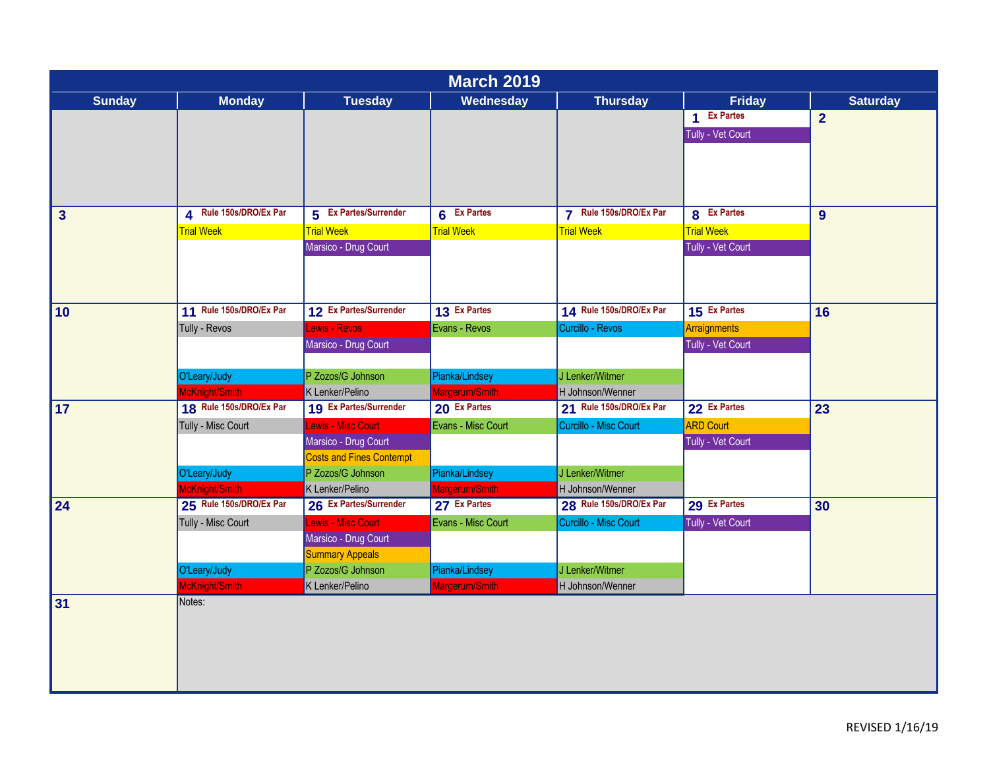|               |                         |                                 | <b>March 2019</b>  |                         |                     |                 |
|---------------|-------------------------|---------------------------------|--------------------|-------------------------|---------------------|-----------------|
| <b>Sunday</b> | <b>Monday</b>           | <b>Tuesday</b>                  | Wednesday          | <b>Thursday</b>         | <b>Friday</b>       | <b>Saturday</b> |
|               |                         |                                 |                    |                         | 1 Ex Partes         | $\overline{2}$  |
|               |                         |                                 |                    |                         | Tully - Vet Court   |                 |
|               |                         |                                 |                    |                         |                     |                 |
|               |                         |                                 |                    |                         |                     |                 |
|               |                         |                                 |                    |                         |                     |                 |
|               |                         |                                 |                    |                         |                     |                 |
| $\mathbf{3}$  | 4 Rule 150s/DRO/Ex Par  | 5 Ex Partes/Surrender           | 6 Ex Partes        | 7 Rule 150s/DRO/Ex Par  | 8 Ex Partes         | 9 <sup>°</sup>  |
|               | <b>Trial Week</b>       | <b>Trial Week</b>               | <b>Trial Week</b>  | <b>Trial Week</b>       | <b>Trial Week</b>   |                 |
|               |                         | Marsico - Drug Court            |                    |                         | Tully - Vet Court   |                 |
|               |                         |                                 |                    |                         |                     |                 |
|               |                         |                                 |                    |                         |                     |                 |
|               |                         |                                 |                    |                         |                     |                 |
| 10            | 11 Rule 150s/DRO/Ex Par | 12 Ex Partes/Surrender          | 13 Ex Partes       | 14 Rule 150s/DRO/Ex Par | 15 Ex Partes        | 16              |
|               | Tully - Revos           | Lewis - Revos                   | Evans - Revos      | Curcillo - Revos        | <b>Arraignments</b> |                 |
|               |                         | Marsico - Drug Court            |                    |                         | Tully - Vet Court   |                 |
|               |                         |                                 |                    |                         |                     |                 |
|               | O'Leary/Judy            | P Zozos/G Johnson               | Pianka/Lindsey     | J Lenker/Witmer         |                     |                 |
|               | McKnight/Smith          | K Lenker/Pelino                 | Margerum/Smith     | H Johnson/Wenner        |                     |                 |
| 17            | 18 Rule 150s/DRO/Ex Par | 19 Ex Partes/Surrender          | 20 Ex Partes       | 21 Rule 150s/DRO/Ex Par | 22 Ex Partes        | 23              |
|               | Tully - Misc Court      | Lewis - Misc Court              | Evans - Misc Court | Curcillo - Misc Court   | <b>ARD Court</b>    |                 |
|               |                         | Marsico - Drug Court            |                    |                         | Tully - Vet Court   |                 |
|               |                         | <b>Costs and Fines Contempt</b> |                    |                         |                     |                 |
|               | O'Leary/Judy            | P Zozos/G Johnson               | Pianka/Lindsey     | J Lenker/Witmer         |                     |                 |
|               | McKnight/Smith          | K Lenker/Pelino                 | Margerum/Smith     | H Johnson/Wenner        |                     |                 |
| 24            | 25 Rule 150s/DRO/Ex Par | 26 Ex Partes/Surrender          | 27 Ex Partes       | 28 Rule 150s/DRO/Ex Par | 29 Ex Partes        | 30              |
|               | Tully - Misc Court      | Lewis - Misc Court              | Evans - Misc Court | Curcillo - Misc Court   | Tully - Vet Court   |                 |
|               |                         | Marsico - Drug Court            |                    |                         |                     |                 |
|               |                         | <b>Summary Appeals</b>          |                    |                         |                     |                 |
|               | O'Leary/Judy            | P Zozos/G Johnson               | Pianka/Lindsey     | J Lenker/Witmer         |                     |                 |
|               | McKnight/Smith          | K Lenker/Pelino                 | Margerum/Smith     | H Johnson/Wenner        |                     |                 |
| 31            | Notes:                  |                                 |                    |                         |                     |                 |
|               |                         |                                 |                    |                         |                     |                 |
|               |                         |                                 |                    |                         |                     |                 |
|               |                         |                                 |                    |                         |                     |                 |
|               |                         |                                 |                    |                         |                     |                 |
|               |                         |                                 |                    |                         |                     |                 |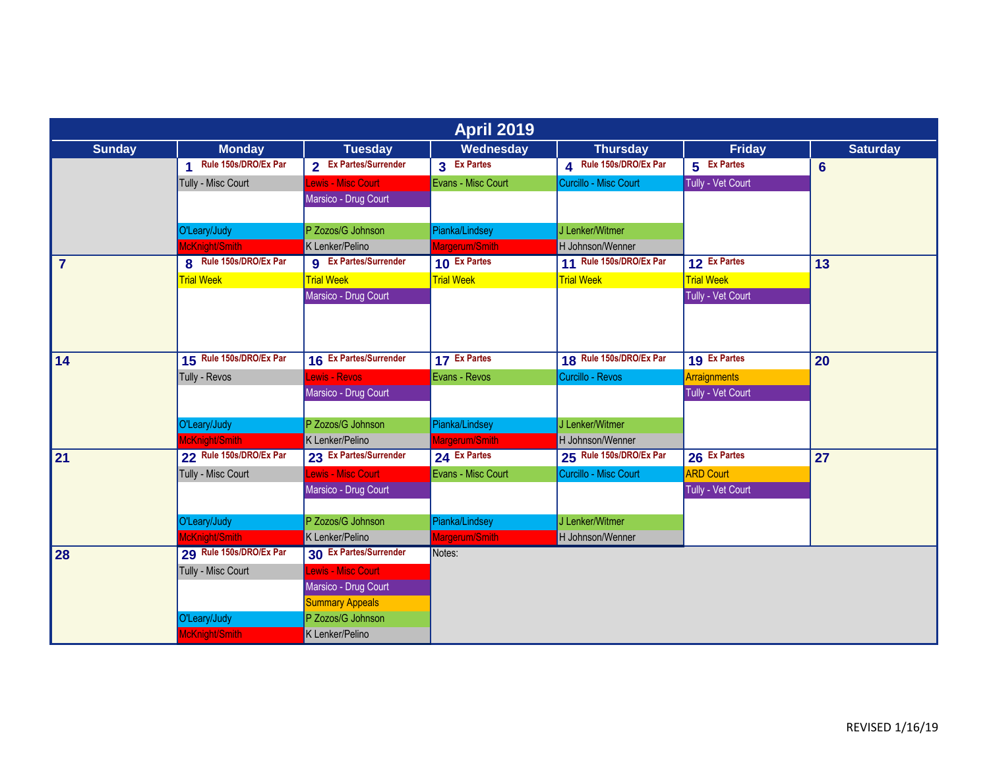| <b>April 2019</b> |                         |                              |                    |                         |                     |                 |  |  |
|-------------------|-------------------------|------------------------------|--------------------|-------------------------|---------------------|-----------------|--|--|
| <b>Sunday</b>     | <b>Monday</b>           | <b>Tuesday</b>               | Wednesday          | <b>Thursday</b>         | <b>Friday</b>       | <b>Saturday</b> |  |  |
|                   | 1 Rule 150s/DRO/Ex Par  | 2 Ex Partes/Surrender        | 3 Ex Partes        | 4 Rule 150s/DRO/Ex Par  | 5 Ex Partes         | $6\phantom{1}$  |  |  |
|                   | Tully - Misc Court      | ewis - Misc Court            | Evans - Misc Court | Curcillo - Misc Court   | Tully - Vet Court   |                 |  |  |
|                   |                         | Marsico - Drug Court         |                    |                         |                     |                 |  |  |
|                   |                         |                              |                    |                         |                     |                 |  |  |
|                   | O'Leary/Judy            | P Zozos/G Johnson            | Pianka/Lindsey     | J Lenker/Witmer         |                     |                 |  |  |
|                   | McKnight/Smith          | K Lenker/Pelino              | Margerum/Smith     | H Johnson/Wenner        |                     |                 |  |  |
| $\overline{7}$    | 8 Rule 150s/DRO/Ex Par  | <b>g</b> Ex Partes/Surrender | 10 Ex Partes       | 11 Rule 150s/DRO/Ex Par | 12 Ex Partes        | 13              |  |  |
|                   | <b>Trial Week</b>       | <b>Trial Week</b>            | <b>Trial Week</b>  | <b>Trial Week</b>       | <b>Trial Week</b>   |                 |  |  |
|                   |                         | Marsico - Drug Court         |                    |                         | Tully - Vet Court   |                 |  |  |
|                   |                         |                              |                    |                         |                     |                 |  |  |
|                   |                         |                              |                    |                         |                     |                 |  |  |
| 14                | 15 Rule 150s/DRO/Ex Par | 16 Ex Partes/Surrender       | 17 Ex Partes       | 18 Rule 150s/DRO/Ex Par | 19 Ex Partes        | 20              |  |  |
|                   | Tully - Revos           | ewis - Reyos                 | Evans - Revos      | Curcillo - Revos        | <b>Arraignments</b> |                 |  |  |
|                   |                         | Marsico - Drug Court         |                    |                         | Tully - Vet Court   |                 |  |  |
|                   |                         |                              |                    |                         |                     |                 |  |  |
|                   | O'Leary/Judy            | P Zozos/G Johnson            | Pianka/Lindsey     | J Lenker/Witmer         |                     |                 |  |  |
|                   | McKnight/Smith          | K Lenker/Pelino              | Margerum/Smith     | H Johnson/Wenner        |                     |                 |  |  |
| 21                | 22 Rule 150s/DRO/Ex Par | 23 Ex Partes/Surrender       | 24 Ex Partes       | 25 Rule 150s/DRO/Ex Par | 26 Ex Partes        | 27              |  |  |
|                   | Tully - Misc Court      | Lewis - Misc Court           | Evans - Misc Court | Curcillo - Misc Court   | <b>ARD Court</b>    |                 |  |  |
|                   |                         | Marsico - Drug Court         |                    |                         | Tully - Vet Court   |                 |  |  |
|                   |                         |                              |                    |                         |                     |                 |  |  |
|                   | O'Leary/Judy            | P Zozos/G Johnson            | Pianka/Lindsey     | J Lenker/Witmer         |                     |                 |  |  |
|                   | McKnight/Smith          | K Lenker/Pelino              | Margerum/Smith     | H Johnson/Wenner        |                     |                 |  |  |
| 28                | 29 Rule 150s/DRO/Ex Par | 30 Ex Partes/Surrender       | Notes:             |                         |                     |                 |  |  |
|                   | Tully - Misc Court      | Lewis - Misc Court           |                    |                         |                     |                 |  |  |
|                   |                         | Marsico - Drug Court         |                    |                         |                     |                 |  |  |
|                   |                         | <b>Summary Appeals</b>       |                    |                         |                     |                 |  |  |
|                   | O'Leary/Judy            | P Zozos/G Johnson            |                    |                         |                     |                 |  |  |
|                   | McKnight/Smith          | K Lenker/Pelino              |                    |                         |                     |                 |  |  |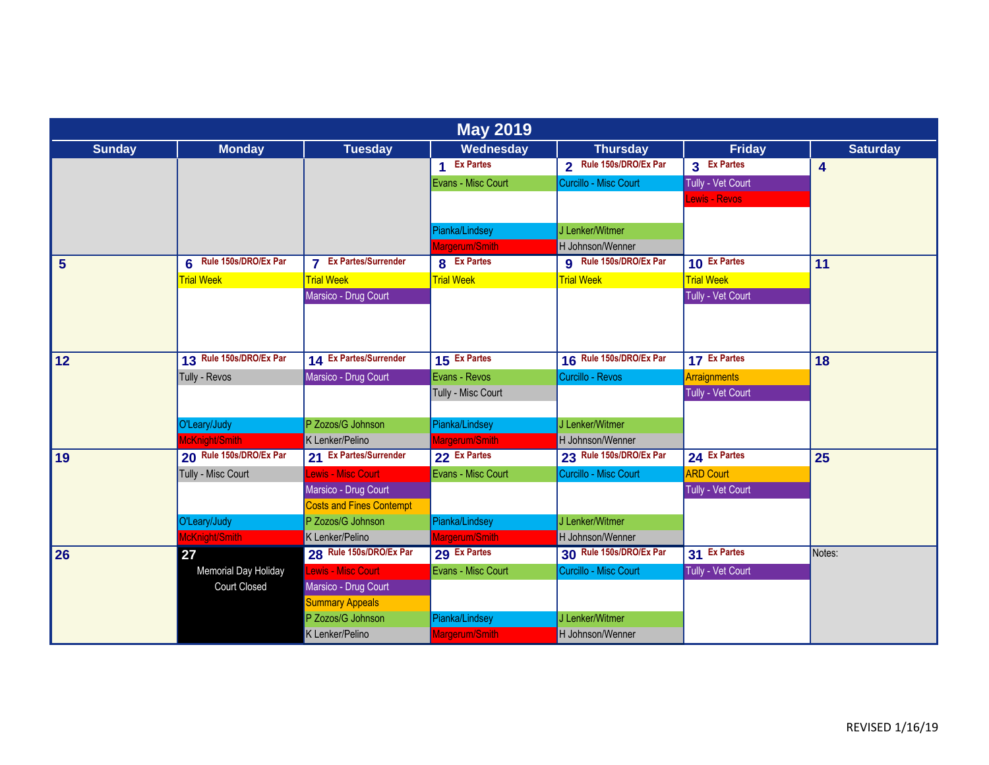| <b>May 2019</b> |                         |                                 |                    |                               |                      |                 |  |  |
|-----------------|-------------------------|---------------------------------|--------------------|-------------------------------|----------------------|-----------------|--|--|
| <b>Sunday</b>   | <b>Monday</b>           | <b>Tuesday</b>                  | Wednesday          | <b>Thursday</b>               | Friday               | <b>Saturday</b> |  |  |
|                 |                         |                                 | 1 Ex Partes        | 2 Rule 150s/DRO/Ex Par        | 3 Ex Partes          | 4               |  |  |
|                 |                         |                                 | Evans - Misc Court | Curcillo - Misc Court         | Tully - Vet Court    |                 |  |  |
|                 |                         |                                 |                    |                               | <b>Lewis - Revos</b> |                 |  |  |
|                 |                         |                                 |                    |                               |                      |                 |  |  |
|                 |                         |                                 | Pianka/Lindsey     | J Lenker/Witmer               |                      |                 |  |  |
|                 |                         |                                 | Margerum/Smith     | H Johnson/Wenner              |                      |                 |  |  |
| $5\phantom{1}$  | 6 Rule 150s/DRO/Ex Par  | <b>7</b> Ex Partes/Surrender    | 8 Ex Partes        | <b>g</b> Rule 150s/DRO/Ex Par | 10 Ex Partes         | 11              |  |  |
|                 | <b>Trial Week</b>       | <b>Trial Week</b>               | <b>Trial Week</b>  | <b>Trial Week</b>             | <b>Trial Week</b>    |                 |  |  |
|                 |                         | Marsico - Drug Court            |                    |                               | Tully - Vet Court    |                 |  |  |
|                 |                         |                                 |                    |                               |                      |                 |  |  |
|                 |                         |                                 |                    |                               |                      |                 |  |  |
| 12              | 13 Rule 150s/DRO/Ex Par | 14 Ex Partes/Surrender          | 15 Ex Partes       | 16 Rule 150s/DRO/Ex Par       | 17 Ex Partes         | 18              |  |  |
|                 | Tully - Revos           | Marsico - Drug Court            | Evans - Revos      | Curcillo - Revos              | <b>Arraignments</b>  |                 |  |  |
|                 |                         |                                 | Tully - Misc Court |                               | Tully - Vet Court    |                 |  |  |
|                 |                         |                                 |                    |                               |                      |                 |  |  |
|                 | O'Leary/Judy            | P Zozos/G Johnson               | Pianka/Lindsey     | J Lenker/Witmer               |                      |                 |  |  |
|                 | McKnight/Smith          | K Lenker/Pelino                 | Margerum/Smith     | H Johnson/Wenner              |                      |                 |  |  |
| 19              | 20 Rule 150s/DRO/Ex Par | 21 Ex Partes/Surrender          | 22 Ex Partes       | 23 Rule 150s/DRO/Ex Par       | 24 Ex Partes         | 25              |  |  |
|                 | Tully - Misc Court      | Lewis - Misc Court              | Evans - Misc Court | Curcillo - Misc Court         | <b>ARD Court</b>     |                 |  |  |
|                 |                         | Marsico - Drug Court            |                    |                               | Tully - Vet Court    |                 |  |  |
|                 |                         | <b>Costs and Fines Contempt</b> |                    |                               |                      |                 |  |  |
|                 | O'Leary/Judy            | P Zozos/G Johnson               | Pianka/Lindsey     | J Lenker/Witmer               |                      |                 |  |  |
|                 | McKnight/Smith          | K Lenker/Pelino                 | Margerum/Smith     | H Johnson/Wenner              |                      |                 |  |  |
| 26              | 27                      | 28 Rule 150s/DRO/Ex Par         | 29 Ex Partes       | 30 Rule 150s/DRO/Ex Par       | 31 Ex Partes         | Notes:          |  |  |
|                 | Memorial Day Holiday    | Lewis - Misc Court              | Evans - Misc Court | Curcillo - Misc Court         | Tully - Vet Court    |                 |  |  |
|                 | <b>Court Closed</b>     | Marsico - Drug Court            |                    |                               |                      |                 |  |  |
|                 |                         | <b>Summary Appeals</b>          |                    |                               |                      |                 |  |  |
|                 |                         | P Zozos/G Johnson               | Pianka/Lindsey     | J Lenker/Witmer               |                      |                 |  |  |
|                 |                         | K Lenker/Pelino                 | Margerum/Smith     | H Johnson/Wenner              |                      |                 |  |  |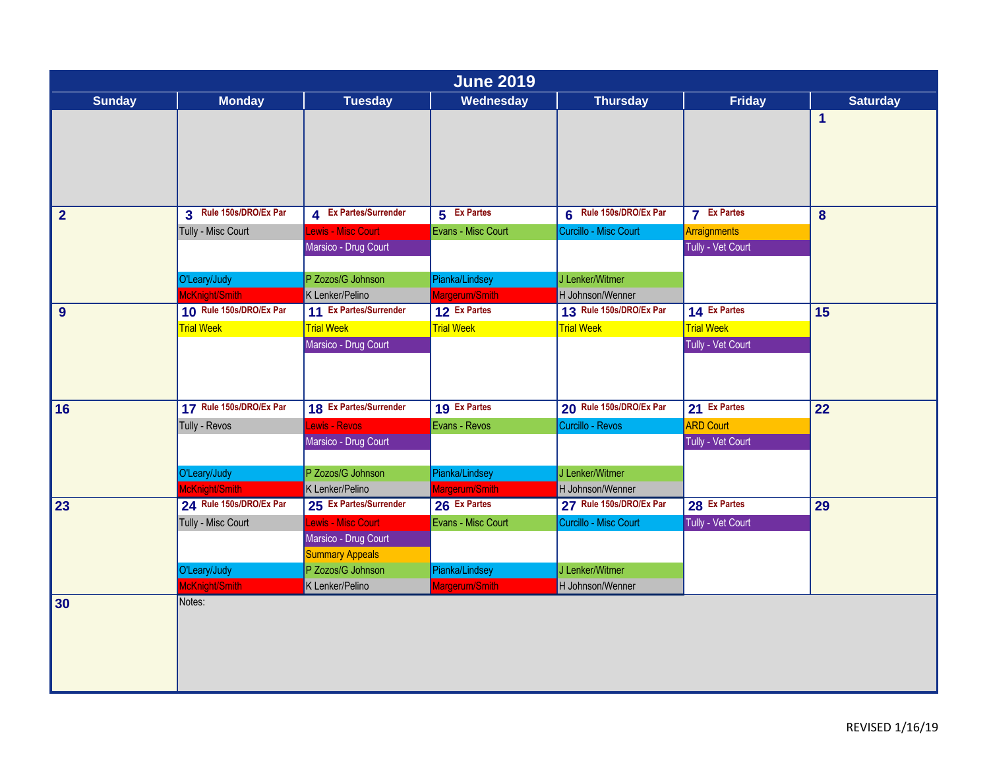| <b>June 2019</b> |                         |                        |                    |                         |                     |                 |  |  |
|------------------|-------------------------|------------------------|--------------------|-------------------------|---------------------|-----------------|--|--|
| <b>Sunday</b>    | <b>Monday</b>           | <b>Tuesday</b>         | Wednesday          | <b>Thursday</b>         | <b>Friday</b>       | <b>Saturday</b> |  |  |
|                  |                         |                        |                    |                         |                     | $\mathbf 1$     |  |  |
| $\overline{2}$   | 3 Rule 150s/DRO/Ex Par  | 4 Ex Partes/Surrender  | 5 Ex Partes        | 6 Rule 150s/DRO/Ex Par  | <b>7</b> Ex Partes  | 8               |  |  |
|                  | Tully - Misc Court      | Lewis - Misc Court     | Evans - Misc Court | Curcillo - Misc Court   | <b>Arraignments</b> |                 |  |  |
|                  |                         | Marsico - Drug Court   |                    |                         | Tully - Vet Court   |                 |  |  |
|                  | O'Leary/Judy            | P Zozos/G Johnson      | Pianka/Lindsey     | J Lenker/Witmer         |                     |                 |  |  |
|                  | McKnight/Smith          | K Lenker/Pelino        | Margerum/Smith     | H Johnson/Wenner        |                     |                 |  |  |
| 9                | 10 Rule 150s/DRO/Ex Par | 11 Ex Partes/Surrender | 12 Ex Partes       | 13 Rule 150s/DRO/Ex Par | 14 Ex Partes        | 15              |  |  |
|                  | <b>Trial Week</b>       | <b>Trial Week</b>      | <b>Trial Week</b>  | <b>Trial Week</b>       | <b>Trial Week</b>   |                 |  |  |
|                  |                         | Marsico - Drug Court   |                    |                         | Tully - Vet Court   |                 |  |  |
| 16               | 17 Rule 150s/DRO/Ex Par | 18 Ex Partes/Surrender | 19 Ex Partes       | 20 Rule 150s/DRO/Ex Par | 21 Ex Partes        | 22              |  |  |
|                  | Tully - Revos           | ewis - Revos           | Evans - Revos      | Curcillo - Revos        | <b>ARD Court</b>    |                 |  |  |
|                  |                         | Marsico - Drug Court   |                    |                         | Tully - Vet Court   |                 |  |  |
|                  | O'Leary/Judy            | P Zozos/G Johnson      | Pianka/Lindsey     | J Lenker/Witmer         |                     |                 |  |  |
|                  | McKnight/Smith          | K Lenker/Pelino        | Margerum/Smith     | H Johnson/Wenner        |                     |                 |  |  |
| 23               | 24 Rule 150s/DRO/Ex Par | 25 Ex Partes/Surrender | 26 Ex Partes       | 27 Rule 150s/DRO/Ex Par | 28 Ex Partes        | 29              |  |  |
|                  | Tully - Misc Court      | Lewis - Misc Court     | Evans - Misc Court | Curcillo - Misc Court   | Tully - Vet Court   |                 |  |  |
|                  |                         | Marsico - Drug Court   |                    |                         |                     |                 |  |  |
|                  |                         | <b>Summary Appeals</b> |                    |                         |                     |                 |  |  |
|                  | O'Leary/Judy            | P Zozos/G Johnson      | Pianka/Lindsey     | J Lenker/Witmer         |                     |                 |  |  |
|                  | McKnight/Smith          | K Lenker/Pelino        | Margerum/Smith     | H Johnson/Wenner        |                     |                 |  |  |
| 30               | Notes:                  |                        |                    |                         |                     |                 |  |  |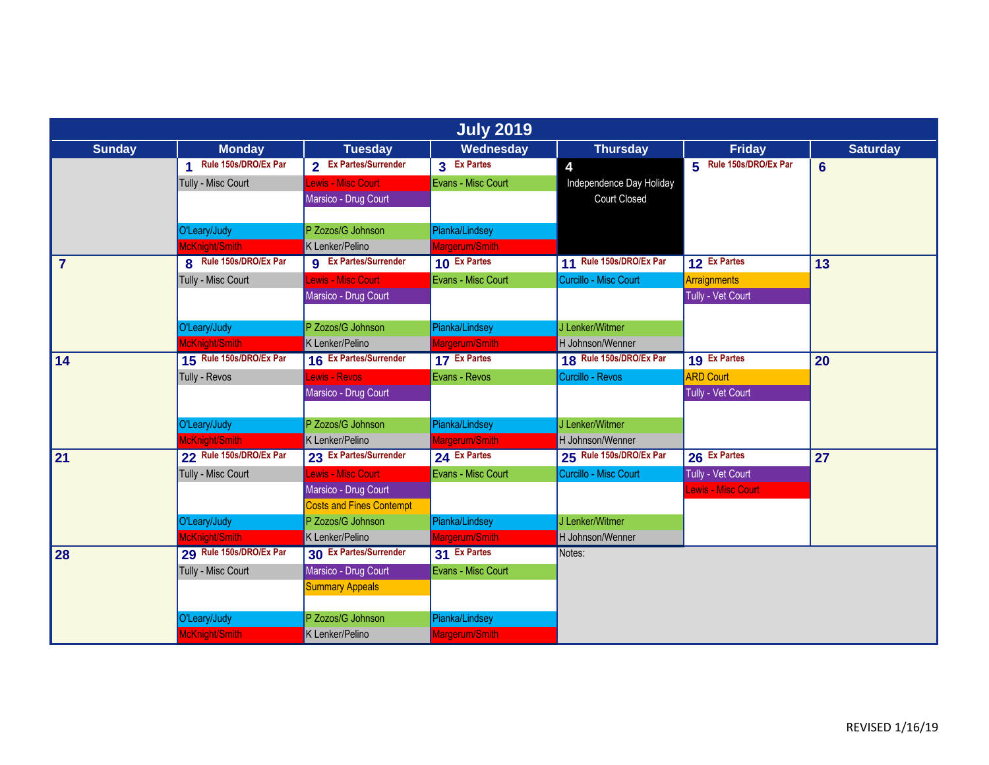|                |                         |                                 | <b>July 2019</b>   |                          |                        |                 |
|----------------|-------------------------|---------------------------------|--------------------|--------------------------|------------------------|-----------------|
| <b>Sunday</b>  | <b>Monday</b>           | <b>Tuesday</b>                  | Wednesday          | <b>Thursday</b>          | <b>Friday</b>          | <b>Saturday</b> |
|                | 1 Rule 150s/DRO/Ex Par  | 2 Ex Partes/Surrender           | 3 Ex Partes        | 4                        | 5 Rule 150s/DRO/Ex Par | $6\phantom{1}6$ |
|                | Tully - Misc Court      | Lewis - Misc Court              | Evans - Misc Court | Independence Day Holiday |                        |                 |
|                |                         | Marsico - Drug Court            |                    | <b>Court Closed</b>      |                        |                 |
|                |                         |                                 |                    |                          |                        |                 |
|                | O'Leary/Judy            | P Zozos/G Johnson               | Pianka/Lindsey     |                          |                        |                 |
|                | McKnight/Smith          | K Lenker/Pelino                 | Margerum/Smith     |                          |                        |                 |
| $\overline{7}$ | 8 Rule 150s/DRO/Ex Par  | <b>g</b> Ex Partes/Surrender    | 10 Ex Partes       | 11 Rule 150s/DRO/Ex Par  | 12 Ex Partes           | 13              |
|                | Tully - Misc Court      | Lewis - Misc Court              | Evans - Misc Court | Curcillo - Misc Court    | Arraignments           |                 |
|                |                         | Marsico - Drug Court            |                    |                          | Tully - Vet Court      |                 |
|                |                         |                                 |                    |                          |                        |                 |
|                | O'Leary/Judy            | P Zozos/G Johnson               | Pianka/Lindsey     | J Lenker/Witmer          |                        |                 |
|                | McKnight/Smith          | K Lenker/Pelino                 | Margerum/Smith     | H Johnson/Wenner         |                        |                 |
| 14             | 15 Rule 150s/DRO/Ex Par | 16 Ex Partes/Surrender          | 17 Ex Partes       | 18 Rule 150s/DRO/Ex Par  | 19 Ex Partes           | 20              |
|                | Tully - Revos           | Lewis - Revos                   | Evans - Revos      | Curcillo - Revos         | <b>ARD Court</b>       |                 |
|                |                         | Marsico - Drug Court            |                    |                          | Tully - Vet Court      |                 |
|                |                         |                                 |                    |                          |                        |                 |
|                | O'Leary/Judy            | P Zozos/G Johnson               | Pianka/Lindsey     | J Lenker/Witmer          |                        |                 |
|                | McKnight/Smith          | K Lenker/Pelino                 | Margerum/Smith     | H Johnson/Wenner         |                        |                 |
| 21             | 22 Rule 150s/DRO/Ex Par | 23 Ex Partes/Surrender          | 24 Ex Partes       | 25 Rule 150s/DRO/Ex Par  | 26 Ex Partes           | 27              |
|                | Tully - Misc Court      | Lewis - Misc Court              | Evans - Misc Court | Curcillo - Misc Court    | Tully - Vet Court      |                 |
|                |                         | Marsico - Drug Court            |                    |                          | Lewis - Misc Court     |                 |
|                |                         | <b>Costs and Fines Contempt</b> |                    |                          |                        |                 |
|                | O'Leary/Judy            | P Zozos/G Johnson               | Pianka/Lindsey     | J Lenker/Witmer          |                        |                 |
|                | McKnight/Smith          | K Lenker/Pelino                 | Margerum/Smith     | H Johnson/Wenner         |                        |                 |
| 28             | 29 Rule 150s/DRO/Ex Par | 30 Ex Partes/Surrender          | 31 Ex Partes       | Notes:                   |                        |                 |
|                | Tully - Misc Court      | Marsico - Drug Court            | Evans - Misc Court |                          |                        |                 |
|                |                         | <b>Summary Appeals</b>          |                    |                          |                        |                 |
|                |                         |                                 |                    |                          |                        |                 |
|                | O'Leary/Judy            | P Zozos/G Johnson               | Pianka/Lindsey     |                          |                        |                 |
|                | McKnight/Smith          | K Lenker/Pelino                 | Margerum/Smith     |                          |                        |                 |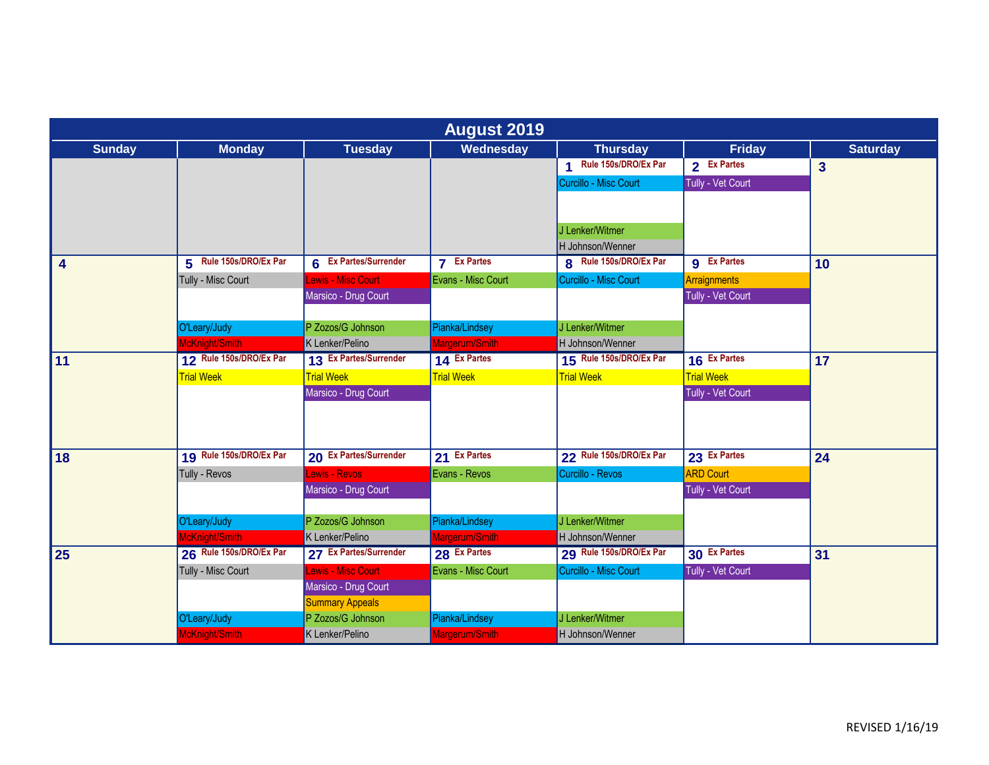|                  | <b>August 2019</b>      |                                           |                    |                         |                    |                         |  |  |
|------------------|-------------------------|-------------------------------------------|--------------------|-------------------------|--------------------|-------------------------|--|--|
| <b>Sunday</b>    | <b>Monday</b>           | <b>Tuesday</b>                            | Wednesday          | <b>Thursday</b>         | <b>Friday</b>      | <b>Saturday</b>         |  |  |
|                  |                         |                                           |                    | 1 Rule 150s/DRO/Ex Par  | 2 Ex Partes        | $\overline{\mathbf{3}}$ |  |  |
|                  |                         |                                           |                    | Curcillo - Misc Court   | Tully - Vet Court  |                         |  |  |
|                  |                         |                                           |                    |                         |                    |                         |  |  |
|                  |                         |                                           |                    |                         |                    |                         |  |  |
|                  |                         |                                           |                    | J Lenker/Witmer         |                    |                         |  |  |
|                  |                         |                                           |                    | H Johnson/Wenner        |                    |                         |  |  |
| $\boldsymbol{4}$ | 5 Rule 150s/DRO/Ex Par  | 6 Ex Partes/Surrender                     | <b>7</b> Ex Partes | 8 Rule 150s/DRO/Ex Par  | <b>g</b> Ex Partes | 10                      |  |  |
|                  | Tully - Misc Court      | ewis - Misc Court                         | Evans - Misc Court | Curcillo - Misc Court   | Arraignments       |                         |  |  |
|                  |                         | Marsico - Drug Court                      |                    |                         | Tully - Vet Court  |                         |  |  |
|                  |                         |                                           |                    |                         |                    |                         |  |  |
|                  | O'Leary/Judy            | P Zozos/G Johnson                         | Pianka/Lindsey     | J Lenker/Witmer         |                    |                         |  |  |
|                  | McKnight/Smith          | K Lenker/Pelino<br>13 Ex Partes/Surrender | Margerum/Smith     | H Johnson/Wenner        |                    |                         |  |  |
| 11               | 12 Rule 150s/DRO/Ex Par |                                           | 14 Ex Partes       | 15 Rule 150s/DRO/Ex Par | 16 Ex Partes       | 17                      |  |  |
|                  | <b>Trial Week</b>       | <b>Trial Week</b>                         | <b>Trial Week</b>  | <b>Trial Week</b>       | <b>Trial Week</b>  |                         |  |  |
|                  |                         | Marsico - Drug Court                      |                    |                         | Tully - Vet Court  |                         |  |  |
|                  |                         |                                           |                    |                         |                    |                         |  |  |
|                  |                         |                                           |                    |                         |                    |                         |  |  |
| 18               | 19 Rule 150s/DRO/Ex Par | 20 Ex Partes/Surrender                    | 21 Ex Partes       | 22 Rule 150s/DRO/Ex Par | 23 Ex Partes       | 24                      |  |  |
|                  | Tully - Revos           | <b>Lewis - Revos</b>                      | Evans - Revos      | Curcillo - Revos        | <b>ARD Court</b>   |                         |  |  |
|                  |                         | Marsico - Drug Court                      |                    |                         | Tully - Vet Court  |                         |  |  |
|                  |                         |                                           |                    |                         |                    |                         |  |  |
|                  | O'Leary/Judy            | P Zozos/G Johnson                         | Pianka/Lindsey     | J Lenker/Witmer         |                    |                         |  |  |
|                  | McKnight/Smith          | K Lenker/Pelino                           | Margerum/Smith     | H Johnson/Wenner        |                    |                         |  |  |
| 25               | 26 Rule 150s/DRO/Ex Par | 27 Ex Partes/Surrender                    | 28 Ex Partes       | 29 Rule 150s/DRO/Ex Par | 30 Ex Partes       | 31                      |  |  |
|                  | Tully - Misc Court      | <b>Lewis - Misc Court</b>                 | Evans - Misc Court | Curcillo - Misc Court   | Tully - Vet Court  |                         |  |  |
|                  |                         | Marsico - Drug Court                      |                    |                         |                    |                         |  |  |
|                  |                         | <b>Summary Appeals</b>                    |                    |                         |                    |                         |  |  |
|                  | O'Leary/Judy            | P Zozos/G Johnson                         | Pianka/Lindsey     | J Lenker/Witmer         |                    |                         |  |  |
|                  | McKnight/Smith          | K Lenker/Pelino                           | Margerum/Smith     | H Johnson/Wenner        |                    |                         |  |  |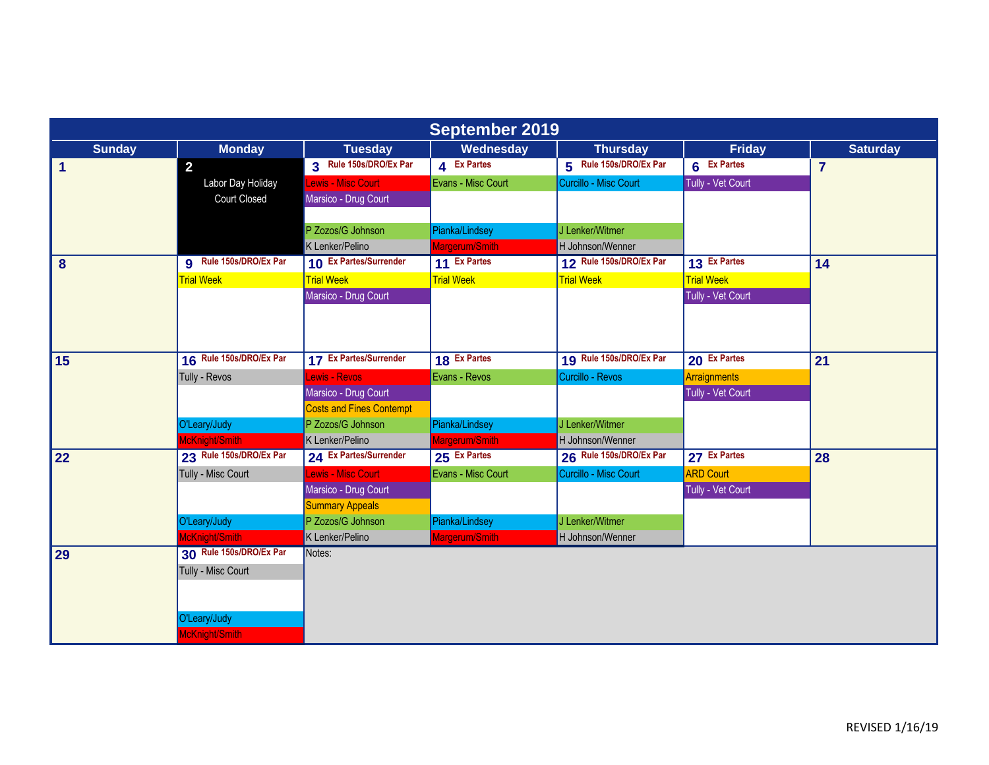| <b>September 2019</b> |                               |                                 |                    |                         |                     |                 |  |  |
|-----------------------|-------------------------------|---------------------------------|--------------------|-------------------------|---------------------|-----------------|--|--|
| <b>Sunday</b>         | <b>Monday</b>                 | <b>Tuesday</b>                  | Wednesday          | <b>Thursday</b>         | <b>Friday</b>       | <b>Saturday</b> |  |  |
| $\blacktriangleleft$  | $\overline{2}$                | 3 Rule 150s/DRO/Ex Par          | 4 Ex Partes        | 5 Rule 150s/DRO/Ex Par  | 6 Ex Partes         | $\overline{7}$  |  |  |
|                       | Labor Day Holiday             | Lewis - Misc Court              | Evans - Misc Court | Curcillo - Misc Court   | Tully - Vet Court   |                 |  |  |
|                       | <b>Court Closed</b>           | Marsico - Drug Court            |                    |                         |                     |                 |  |  |
|                       |                               |                                 |                    |                         |                     |                 |  |  |
|                       |                               | P Zozos/G Johnson               | Pianka/Lindsey     | J Lenker/Witmer         |                     |                 |  |  |
|                       |                               | K Lenker/Pelino                 | Margerum/Smith     | H Johnson/Wenner        |                     |                 |  |  |
| 8                     | <b>g</b> Rule 150s/DRO/Ex Par | 10 Ex Partes/Surrender          | 11 Ex Partes       | 12 Rule 150s/DRO/Ex Par | 13 Ex Partes        | 14              |  |  |
|                       | <b>Trial Week</b>             | <b>Trial Week</b>               | <b>Trial Week</b>  | <b>Trial Week</b>       | <b>Trial Week</b>   |                 |  |  |
|                       |                               | Marsico - Drug Court            |                    |                         | Tully - Vet Court   |                 |  |  |
|                       |                               |                                 |                    |                         |                     |                 |  |  |
|                       |                               |                                 |                    |                         |                     |                 |  |  |
|                       |                               |                                 |                    |                         |                     |                 |  |  |
| 15                    | 16 Rule 150s/DRO/Ex Par       | 17 Ex Partes/Surrender          | 18 Ex Partes       | 19 Rule 150s/DRO/Ex Par | 20 Ex Partes        | 21              |  |  |
|                       | Tully - Revos                 | <b>Lewis - Revos</b>            | Evans - Revos      | Curcillo - Revos        | <b>Arraignments</b> |                 |  |  |
|                       |                               | Marsico - Drug Court            |                    |                         | Tully - Vet Court   |                 |  |  |
|                       |                               | <b>Costs and Fines Contempt</b> |                    |                         |                     |                 |  |  |
|                       | O'Leary/Judy                  | P Zozos/G Johnson               | Pianka/Lindsey     | J Lenker/Witmer         |                     |                 |  |  |
|                       | McKnight/Smith                | K Lenker/Pelino                 | Margerum/Smith     | H Johnson/Wenner        |                     |                 |  |  |
| 22                    | 23 Rule 150s/DRO/Ex Par       | 24 Ex Partes/Surrender          | 25 Ex Partes       | 26 Rule 150s/DRO/Ex Par | 27 Ex Partes        | 28              |  |  |
|                       | Tully - Misc Court            | Lewis - Misc Court              | Evans - Misc Court | Curcillo - Misc Court   | <b>ARD Court</b>    |                 |  |  |
|                       |                               | Marsico - Drug Court            |                    |                         | Tully - Vet Court   |                 |  |  |
|                       |                               | <b>Summary Appeals</b>          |                    |                         |                     |                 |  |  |
|                       | O'Leary/Judy                  | P Zozos/G Johnson               | Pianka/Lindsey     | J Lenker/Witmer         |                     |                 |  |  |
|                       | McKnight/Smith                | K Lenker/Pelino                 | Margerum/Smith     | H Johnson/Wenner        |                     |                 |  |  |
| 29                    | 30 Rule 150s/DRO/Ex Par       | Notes:                          |                    |                         |                     |                 |  |  |
|                       | Tully - Misc Court            |                                 |                    |                         |                     |                 |  |  |
|                       |                               |                                 |                    |                         |                     |                 |  |  |
|                       |                               |                                 |                    |                         |                     |                 |  |  |
|                       | O'Leary/Judy                  |                                 |                    |                         |                     |                 |  |  |
|                       | McKnight/Smith                |                                 |                    |                         |                     |                 |  |  |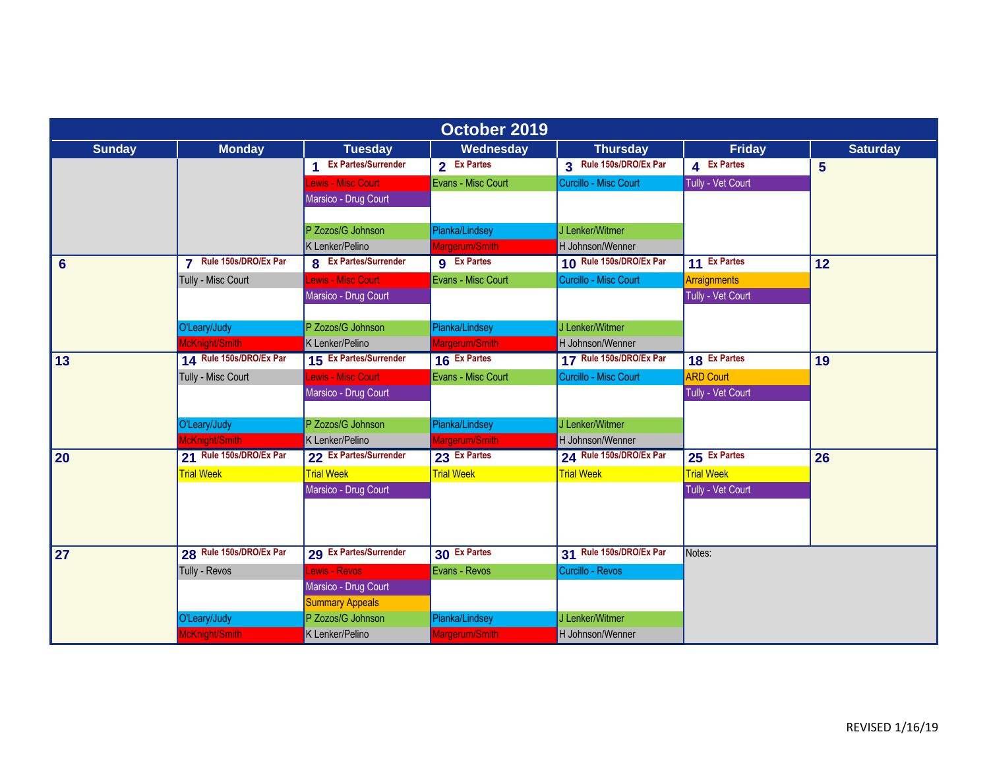| October 2019   |                                                 |                              |                    |                         |                   |                 |  |  |
|----------------|-------------------------------------------------|------------------------------|--------------------|-------------------------|-------------------|-----------------|--|--|
| <b>Sunday</b>  | <b>Monday</b>                                   | <b>Tuesday</b>               | Wednesday          | <b>Thursday</b>         | <b>Friday</b>     | <b>Saturday</b> |  |  |
|                |                                                 | 1 Ex Partes/Surrender        | 2 Ex Partes        | 3 Rule 150s/DRO/Ex Par  | 4 Ex Partes       | 5               |  |  |
|                |                                                 | Lewis - Misc Court           | Evans - Misc Court | Curcillo - Misc Court   | Tully - Vet Court |                 |  |  |
|                |                                                 | Marsico - Drug Court         |                    |                         |                   |                 |  |  |
|                |                                                 | P Zozos/G Johnson            | Pianka/Lindsey     | J Lenker/Witmer         |                   |                 |  |  |
|                |                                                 | K Lenker/Pelino              | Margerum/Smith     | H Johnson/Wenner        |                   |                 |  |  |
| $6\phantom{1}$ | Rule 150s/DRO/Ex Par<br>$\overline{\mathbf{z}}$ | <b>8</b> Ex Partes/Surrender | <b>g</b> Ex Partes | 10 Rule 150s/DRO/Ex Par | 11 Ex Partes      | 12              |  |  |
|                | Tully - Misc Court                              | ewis - Misc Court            | Evans - Misc Court | Curcillo - Misc Court   | Arraignments      |                 |  |  |
|                |                                                 | Marsico - Drug Court         |                    |                         | Tully - Vet Court |                 |  |  |
|                |                                                 |                              |                    |                         |                   |                 |  |  |
|                | O'Leary/Judy                                    | P Zozos/G Johnson            | Pianka/Lindsey     | J Lenker/Witmer         |                   |                 |  |  |
|                | McKnight/Smith                                  | K Lenker/Pelino              | Margerum/Smith     | H Johnson/Wenner        |                   |                 |  |  |
| 13             | 14 Rule 150s/DRO/Ex Par                         | 15 Ex Partes/Surrender       | 16 Ex Partes       | 17 Rule 150s/DRO/Ex Par | 18 Ex Partes      | 19              |  |  |
|                | Tully - Misc Court                              | <b>Lewis - Misc Court</b>    | Evans - Misc Court | Curcillo - Misc Court   | <b>ARD Court</b>  |                 |  |  |
|                |                                                 | Marsico - Drug Court         |                    |                         | Tully - Vet Court |                 |  |  |
|                |                                                 |                              |                    |                         |                   |                 |  |  |
|                | O'Leary/Judy                                    | P Zozos/G Johnson            | Pianka/Lindsey     | J Lenker/Witmer         |                   |                 |  |  |
|                | McKnight/Smith                                  | K Lenker/Pelino              | Margerum/Smith     | H Johnson/Wenner        |                   |                 |  |  |
| 20             | 21 Rule 150s/DRO/Ex Par                         | 22 Ex Partes/Surrender       | 23 Ex Partes       | 24 Rule 150s/DRO/Ex Par | 25 Ex Partes      | 26              |  |  |
|                | <b>Trial Week</b>                               | <b>Trial Week</b>            | <b>Trial Week</b>  | <b>Trial Week</b>       | <b>Trial Week</b> |                 |  |  |
|                |                                                 | Marsico - Drug Court         |                    |                         | Tully - Vet Court |                 |  |  |
|                |                                                 |                              |                    |                         |                   |                 |  |  |
|                |                                                 |                              |                    |                         |                   |                 |  |  |
| 27             | 28 Rule 150s/DRO/Ex Par                         | 29 Ex Partes/Surrender       | 30 Ex Partes       | 31 Rule 150s/DRO/Ex Par | Notes:            |                 |  |  |
|                | Tully - Revos                                   | <b>Lewis - Revos</b>         | Evans - Revos      | Curcillo - Revos        |                   |                 |  |  |
|                |                                                 | Marsico - Drug Court         |                    |                         |                   |                 |  |  |
|                |                                                 | <b>Summary Appeals</b>       |                    |                         |                   |                 |  |  |
|                | O'Leary/Judy                                    | P Zozos/G Johnson            | Pianka/Lindsey     | J Lenker/Witmer         |                   |                 |  |  |
|                | McKnight/Smith                                  | K Lenker/Pelino              | Margerum/Smith     | H Johnson/Wenner        |                   |                 |  |  |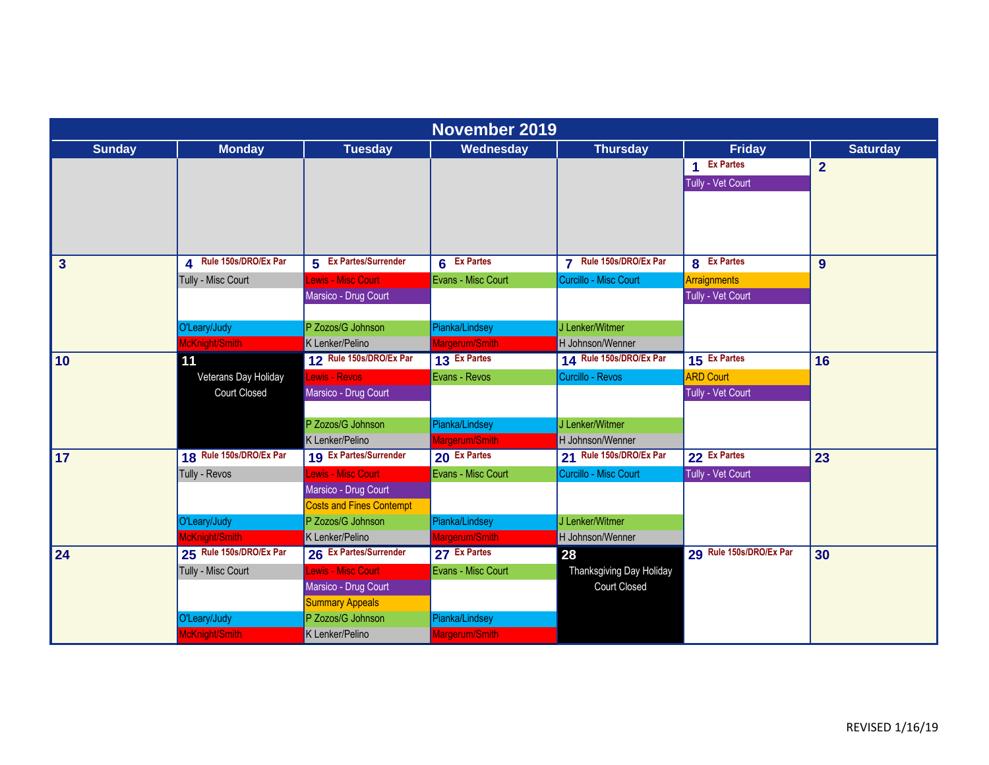|                         | November 2019           |                                 |                    |                          |                         |                 |  |  |  |
|-------------------------|-------------------------|---------------------------------|--------------------|--------------------------|-------------------------|-----------------|--|--|--|
| <b>Sunday</b>           | <b>Monday</b>           | <b>Tuesday</b>                  | Wednesday          | <b>Thursday</b>          | <b>Friday</b>           | <b>Saturday</b> |  |  |  |
|                         |                         |                                 |                    |                          | 1 Ex Partes             | $\overline{2}$  |  |  |  |
|                         |                         |                                 |                    |                          | Tully - Vet Court       |                 |  |  |  |
|                         |                         |                                 |                    |                          |                         |                 |  |  |  |
|                         |                         |                                 |                    |                          |                         |                 |  |  |  |
|                         |                         |                                 |                    |                          |                         |                 |  |  |  |
| $\overline{\mathbf{3}}$ | 4 Rule 150s/DRO/Ex Par  | 5 Ex Partes/Surrender           | 6 Ex Partes        | 7 Rule 150s/DRO/Ex Par   | 8 Ex Partes             | 9               |  |  |  |
|                         | Tully - Misc Court      | <b>Lewis - Misc Court</b>       | Evans - Misc Court | Curcillo - Misc Court    | Arraignments            |                 |  |  |  |
|                         |                         | Marsico - Drug Court            |                    |                          | Tully - Vet Court       |                 |  |  |  |
|                         |                         |                                 |                    |                          |                         |                 |  |  |  |
|                         | O'Leary/Judy            | P Zozos/G Johnson               | Pianka/Lindsey     | J Lenker/Witmer          |                         |                 |  |  |  |
|                         | McKnight/Smith          | K Lenker/Pelino                 | Margerum/Smith     | H Johnson/Wenner         |                         |                 |  |  |  |
| 10                      | 11                      | 12 Rule 150s/DRO/Ex Par         | 13 Ex Partes       | 14 Rule 150s/DRO/Ex Par  | 15 Ex Partes            | 16              |  |  |  |
|                         | Veterans Day Holiday    | Lewis - Revos                   | Evans - Revos      | Curcillo - Revos         | <b>ARD Court</b>        |                 |  |  |  |
|                         | <b>Court Closed</b>     | Marsico - Drug Court            |                    |                          | Tully - Vet Court       |                 |  |  |  |
|                         |                         |                                 |                    |                          |                         |                 |  |  |  |
|                         |                         | P Zozos/G Johnson               | Pianka/Lindsey     | J Lenker/Witmer          |                         |                 |  |  |  |
|                         |                         | K Lenker/Pelino                 | Margerum/Smith     | H Johnson/Wenner         |                         |                 |  |  |  |
| 17                      | 18 Rule 150s/DRO/Ex Par | 19 Ex Partes/Surrender          | 20 Ex Partes       | 21 Rule 150s/DRO/Ex Par  | 22 Ex Partes            | 23              |  |  |  |
|                         | Tully - Revos           | Lewis - Misc Court              | Evans - Misc Court | Curcillo - Misc Court    | Tully - Vet Court       |                 |  |  |  |
|                         |                         | Marsico - Drug Court            |                    |                          |                         |                 |  |  |  |
|                         |                         | <b>Costs and Fines Contempt</b> |                    |                          |                         |                 |  |  |  |
|                         | O'Leary/Judy            | P Zozos/G Johnson               | Pianka/Lindsey     | J Lenker/Witmer          |                         |                 |  |  |  |
|                         | McKnight/Smith          | K Lenker/Pelino                 | Margerum/Smith     | H Johnson/Wenner         |                         |                 |  |  |  |
| 24                      | 25 Rule 150s/DRO/Ex Par | 26 Ex Partes/Surrender          | 27 Ex Partes       | 28                       | 29 Rule 150s/DRO/Ex Par | 30              |  |  |  |
|                         | Tully - Misc Court      | Lewis - Misc Court              | Evans - Misc Court | Thanksgiving Day Holiday |                         |                 |  |  |  |
|                         |                         | Marsico - Drug Court            |                    | <b>Court Closed</b>      |                         |                 |  |  |  |
|                         |                         | <b>Summary Appeals</b>          |                    |                          |                         |                 |  |  |  |
|                         | O'Leary/Judy            | P Zozos/G Johnson               | Pianka/Lindsey     |                          |                         |                 |  |  |  |
|                         | McKnight/Smith          | K Lenker/Pelino                 | Margerum/Smith     |                          |                         |                 |  |  |  |